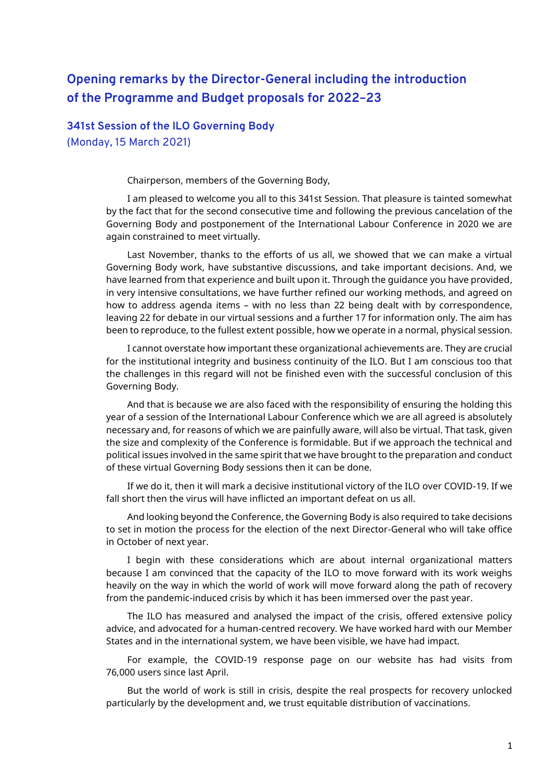## **Opening remarks by the Director-General including the introduction of the Programme and Budget proposals for 2022–23**

**341st Session of the ILO Governing Body** (Monday, 15 March 2021)

Chairperson, members of the Governing Body,

I am pleased to welcome you all to this 341st Session. That pleasure is tainted somewhat by the fact that for the second consecutive time and following the previous cancelation of the Governing Body and postponement of the International Labour Conference in 2020 we are again constrained to meet virtually.

Last November, thanks to the efforts of us all, we showed that we can make a virtual Governing Body work, have substantive discussions, and take important decisions. And, we have learned from that experience and built upon it. Through the guidance you have provided, in very intensive consultations, we have further refined our working methods, and agreed on how to address agenda items – with no less than 22 being dealt with by correspondence, leaving 22 for debate in our virtual sessions and a further 17 for information only. The aim has been to reproduce, to the fullest extent possible, how we operate in a normal, physical session.

I cannot overstate how important these organizational achievements are. They are crucial for the institutional integrity and business continuity of the ILO. But I am conscious too that the challenges in this regard will not be finished even with the successful conclusion of this Governing Body.

And that is because we are also faced with the responsibility of ensuring the holding this year of a session of the International Labour Conference which we are all agreed is absolutely necessary and, for reasons of which we are painfully aware, will also be virtual. That task, given the size and complexity of the Conference is formidable. But if we approach the technical and political issues involved in the same spirit that we have brought to the preparation and conduct of these virtual Governing Body sessions then it can be done.

If we do it, then it will mark a decisive institutional victory of the ILO over COVID-19. If we fall short then the virus will have inflicted an important defeat on us all.

And looking beyond the Conference, the Governing Body is also required to take decisions to set in motion the process for the election of the next Director-General who will take office in October of next year.

I begin with these considerations which are about internal organizational matters because I am convinced that the capacity of the ILO to move forward with its work weighs heavily on the way in which the world of work will move forward along the path of recovery from the pandemic-induced crisis by which it has been immersed over the past year.

The ILO has measured and analysed the impact of the crisis, offered extensive policy advice, and advocated for a human-centred recovery. We have worked hard with our Member States and in the international system, we have been visible, we have had impact.

For example, the COVID-19 response page on our website has had visits from 76,000 users since last April.

But the world of work is still in crisis, despite the real prospects for recovery unlocked particularly by the development and, we trust equitable distribution of vaccinations.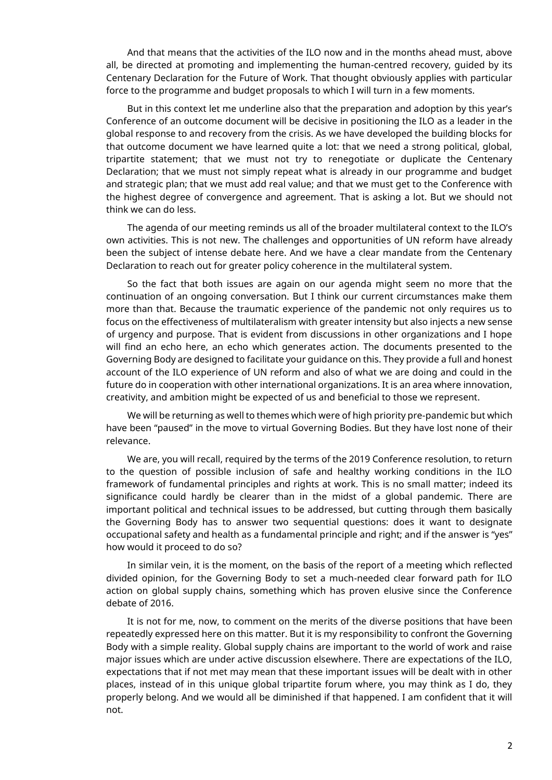And that means that the activities of the ILO now and in the months ahead must, above all, be directed at promoting and implementing the human-centred recovery, guided by its Centenary Declaration for the Future of Work. That thought obviously applies with particular force to the programme and budget proposals to which I will turn in a few moments.

But in this context let me underline also that the preparation and adoption by this year's Conference of an outcome document will be decisive in positioning the ILO as a leader in the global response to and recovery from the crisis. As we have developed the building blocks for that outcome document we have learned quite a lot: that we need a strong political, global, tripartite statement; that we must not try to renegotiate or duplicate the Centenary Declaration; that we must not simply repeat what is already in our programme and budget and strategic plan; that we must add real value; and that we must get to the Conference with the highest degree of convergence and agreement. That is asking a lot. But we should not think we can do less.

The agenda of our meeting reminds us all of the broader multilateral context to the ILO's own activities. This is not new. The challenges and opportunities of UN reform have already been the subject of intense debate here. And we have a clear mandate from the Centenary Declaration to reach out for greater policy coherence in the multilateral system.

So the fact that both issues are again on our agenda might seem no more that the continuation of an ongoing conversation. But I think our current circumstances make them more than that. Because the traumatic experience of the pandemic not only requires us to focus on the effectiveness of multilateralism with greater intensity but also injects a new sense of urgency and purpose. That is evident from discussions in other organizations and I hope will find an echo here, an echo which generates action. The documents presented to the Governing Body are designed to facilitate your guidance on this. They provide a full and honest account of the ILO experience of UN reform and also of what we are doing and could in the future do in cooperation with other international organizations. It is an area where innovation, creativity, and ambition might be expected of us and beneficial to those we represent.

We will be returning as well to themes which were of high priority pre-pandemic but which have been "paused" in the move to virtual Governing Bodies. But they have lost none of their relevance.

We are, you will recall, required by the terms of the 2019 Conference resolution, to return to the question of possible inclusion of safe and healthy working conditions in the ILO framework of fundamental principles and rights at work. This is no small matter; indeed its significance could hardly be clearer than in the midst of a global pandemic. There are important political and technical issues to be addressed, but cutting through them basically the Governing Body has to answer two sequential questions: does it want to designate occupational safety and health as a fundamental principle and right; and if the answer is "yes" how would it proceed to do so?

In similar vein, it is the moment, on the basis of the report of a meeting which reflected divided opinion, for the Governing Body to set a much-needed clear forward path for ILO action on global supply chains, something which has proven elusive since the Conference debate of 2016.

It is not for me, now, to comment on the merits of the diverse positions that have been repeatedly expressed here on this matter. But it is my responsibility to confront the Governing Body with a simple reality. Global supply chains are important to the world of work and raise major issues which are under active discussion elsewhere. There are expectations of the ILO, expectations that if not met may mean that these important issues will be dealt with in other places, instead of in this unique global tripartite forum where, you may think as I do, they properly belong. And we would all be diminished if that happened. I am confident that it will not.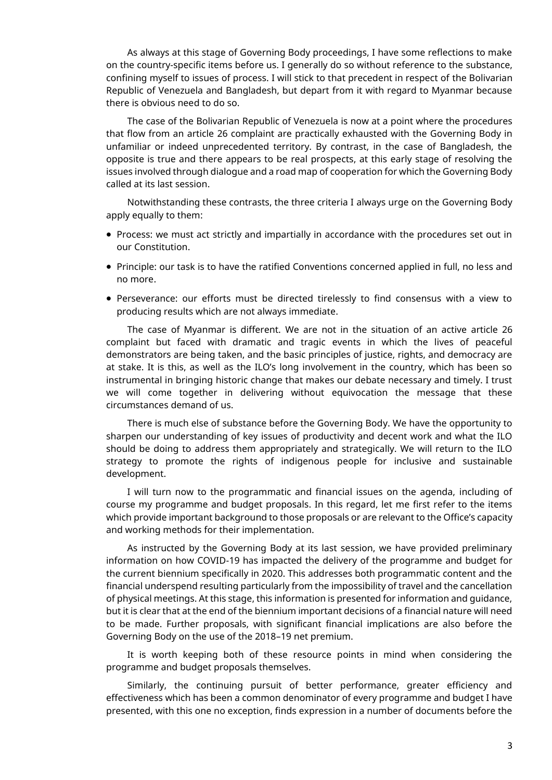As always at this stage of Governing Body proceedings, I have some reflections to make on the country-specific items before us. I generally do so without reference to the substance, confining myself to issues of process. I will stick to that precedent in respect of the Bolivarian Republic of Venezuela and Bangladesh, but depart from it with regard to Myanmar because there is obvious need to do so.

The case of the Bolivarian Republic of Venezuela is now at a point where the procedures that flow from an article 26 complaint are practically exhausted with the Governing Body in unfamiliar or indeed unprecedented territory. By contrast, in the case of Bangladesh, the opposite is true and there appears to be real prospects, at this early stage of resolving the issues involved through dialogue and a road map of cooperation for which the Governing Body called at its last session.

Notwithstanding these contrasts, the three criteria I always urge on the Governing Body apply equally to them:

- Process: we must act strictly and impartially in accordance with the procedures set out in our Constitution.
- Principle: our task is to have the ratified Conventions concerned applied in full, no less and no more.
- Perseverance: our efforts must be directed tirelessly to find consensus with a view to producing results which are not always immediate.

The case of Myanmar is different. We are not in the situation of an active article 26 complaint but faced with dramatic and tragic events in which the lives of peaceful demonstrators are being taken, and the basic principles of justice, rights, and democracy are at stake. It is this, as well as the ILO's long involvement in the country, which has been so instrumental in bringing historic change that makes our debate necessary and timely. I trust we will come together in delivering without equivocation the message that these circumstances demand of us.

There is much else of substance before the Governing Body. We have the opportunity to sharpen our understanding of key issues of productivity and decent work and what the ILO should be doing to address them appropriately and strategically. We will return to the ILO strategy to promote the rights of indigenous people for inclusive and sustainable development.

I will turn now to the programmatic and financial issues on the agenda, including of course my programme and budget proposals. In this regard, let me first refer to the items which provide important background to those proposals or are relevant to the Office's capacity and working methods for their implementation.

As instructed by the Governing Body at its last session, we have provided preliminary information on how COVID-19 has impacted the delivery of the programme and budget for the current biennium specifically in 2020. This addresses both programmatic content and the financial underspend resulting particularly from the impossibility of travel and the cancellation of physical meetings. At this stage, this information is presented for information and guidance, but it is clear that at the end of the biennium important decisions of a financial nature will need to be made. Further proposals, with significant financial implications are also before the Governing Body on the use of the 2018–19 net premium.

It is worth keeping both of these resource points in mind when considering the programme and budget proposals themselves.

Similarly, the continuing pursuit of better performance, greater efficiency and effectiveness which has been a common denominator of every programme and budget I have presented, with this one no exception, finds expression in a number of documents before the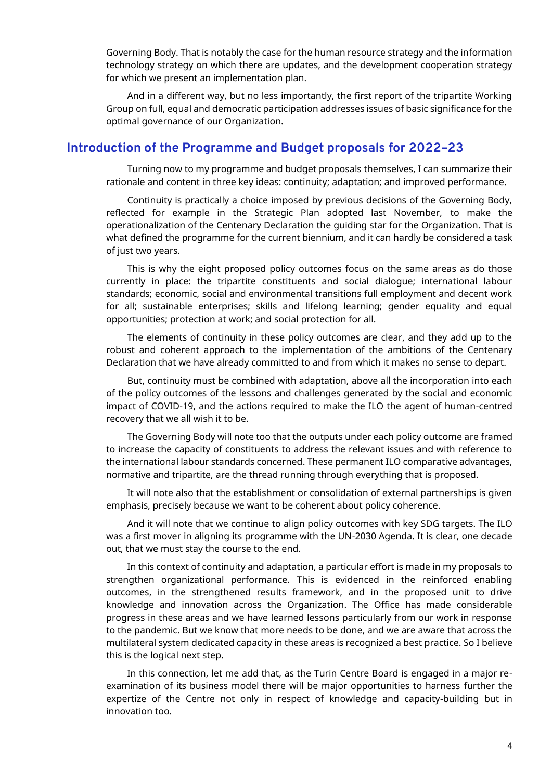Governing Body. That is notably the case for the human resource strategy and the information technology strategy on which there are updates, and the development cooperation strategy for which we present an implementation plan.

And in a different way, but no less importantly, the first report of the tripartite Working Group on full, equal and democratic participation addresses issues of basic significance for the optimal governance of our Organization.

## **Introduction of the Programme and Budget proposals for 2022–23**

Turning now to my programme and budget proposals themselves, I can summarize their rationale and content in three key ideas: continuity; adaptation; and improved performance.

Continuity is practically a choice imposed by previous decisions of the Governing Body, reflected for example in the Strategic Plan adopted last November, to make the operationalization of the Centenary Declaration the guiding star for the Organization. That is what defined the programme for the current biennium, and it can hardly be considered a task of just two years.

This is why the eight proposed policy outcomes focus on the same areas as do those currently in place: the tripartite constituents and social dialogue; international labour standards; economic, social and environmental transitions full employment and decent work for all; sustainable enterprises; skills and lifelong learning; gender equality and equal opportunities; protection at work; and social protection for all.

The elements of continuity in these policy outcomes are clear, and they add up to the robust and coherent approach to the implementation of the ambitions of the Centenary Declaration that we have already committed to and from which it makes no sense to depart.

But, continuity must be combined with adaptation, above all the incorporation into each of the policy outcomes of the lessons and challenges generated by the social and economic impact of COVID-19, and the actions required to make the ILO the agent of human-centred recovery that we all wish it to be.

The Governing Body will note too that the outputs under each policy outcome are framed to increase the capacity of constituents to address the relevant issues and with reference to the international labour standards concerned. These permanent ILO comparative advantages, normative and tripartite, are the thread running through everything that is proposed.

It will note also that the establishment or consolidation of external partnerships is given emphasis, precisely because we want to be coherent about policy coherence.

And it will note that we continue to align policy outcomes with key SDG targets. The ILO was a first mover in aligning its programme with the UN-2030 Agenda. It is clear, one decade out, that we must stay the course to the end.

In this context of continuity and adaptation, a particular effort is made in my proposals to strengthen organizational performance. This is evidenced in the reinforced enabling outcomes, in the strengthened results framework, and in the proposed unit to drive knowledge and innovation across the Organization. The Office has made considerable progress in these areas and we have learned lessons particularly from our work in response to the pandemic. But we know that more needs to be done, and we are aware that across the multilateral system dedicated capacity in these areas is recognized a best practice. So I believe this is the logical next step.

In this connection, let me add that, as the Turin Centre Board is engaged in a major reexamination of its business model there will be major opportunities to harness further the expertize of the Centre not only in respect of knowledge and capacity-building but in innovation too.